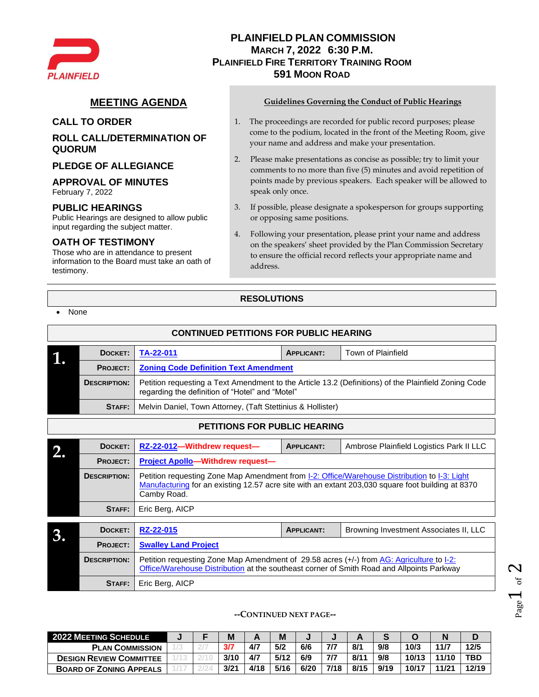

# **PLAINFIELD PLAN COMMISSION MARCH 7, 2022 6:30 P.M. PLAINFIELD FIRE TERRITORY TRAINING ROOM 591 MOON ROAD**

## **ROLL CALL/DETERMINATION OF QUORUM**

### **PLEDGE OF ALLEGIANCE**

#### **APPROVAL OF MINUTES**

February 7, 2022

#### **PUBLIC HEARINGS**

Public Hearings are designed to allow public input regarding the subject matter.

## **OATH OF TESTIMONY**

Those who are in attendance to present information to the Board must take an oath of testimony.

**STAFF:** Eric Berg, AICP

### **MEETING AGENDA Guidelines Governing the Conduct of Public Hearings**

- **CALL TO ORDER** 1. The proceedings are recorded for public record purposes; please come to the podium, located in the front of the Meeting Room, give your name and address and make your presentation.
	- 2. Please make presentations as concise as possible; try to limit your comments to no more than five (5) minutes and avoid repetition of points made by previous speakers. Each speaker will be allowed to speak only once.
	- 3. If possible, please designate a spokesperson for groups supporting or opposing same positions.
	- 4. Following your presentation, please print your name and address on the speakers' sheet provided by the Plan Commission Secretary to ensure the official record reflects your appropriate name and address.

## **RESOLUTIONS**

| None |
|------|
|      |

|                                                                 | <b>CONTINUED PETITIONS FOR PUBLIC HEARING</b> |                                                                                                                                                                                                   |                   |                                          |  |  |  |  |  |  |  |  |  |
|-----------------------------------------------------------------|-----------------------------------------------|---------------------------------------------------------------------------------------------------------------------------------------------------------------------------------------------------|-------------------|------------------------------------------|--|--|--|--|--|--|--|--|--|
|                                                                 | DOCKET:                                       | TA-22-011                                                                                                                                                                                         | <b>APPLICANT:</b> | <b>Town of Plainfield</b>                |  |  |  |  |  |  |  |  |  |
| <b>Zoning Code Definition Text Amendment</b><br><b>PROJECT:</b> |                                               |                                                                                                                                                                                                   |                   |                                          |  |  |  |  |  |  |  |  |  |
|                                                                 | <b>DESCRIPTION:</b>                           | Petition requesting a Text Amendment to the Article 13.2 (Definitions) of the Plainfield Zoning Code<br>regarding the definition of "Hotel" and "Motel"                                           |                   |                                          |  |  |  |  |  |  |  |  |  |
|                                                                 | STAFF:                                        | Melvin Daniel, Town Attorney, (Taft Stettinius & Hollister)                                                                                                                                       |                   |                                          |  |  |  |  |  |  |  |  |  |
|                                                                 | <b>PETITIONS FOR PUBLIC HEARING</b>           |                                                                                                                                                                                                   |                   |                                          |  |  |  |  |  |  |  |  |  |
|                                                                 | DOCKET:                                       | RZ-22-012-Withdrew request-                                                                                                                                                                       | <b>APPLICANT:</b> | Ambrose Plainfield Logistics Park II LLC |  |  |  |  |  |  |  |  |  |
|                                                                 | <b>PROJECT:</b>                               | <b>Project Apollo-Withdrew request-</b>                                                                                                                                                           |                   |                                          |  |  |  |  |  |  |  |  |  |
|                                                                 | <b>DESCRIPTION:</b>                           | Petition requesting Zone Map Amendment from I-2: Office/Warehouse Distribution to I-3: Light<br>Manufacturing for an existing 12.57 acre site with an extant 203,030 square foot building at 8370 |                   |                                          |  |  |  |  |  |  |  |  |  |

|    | DOCKET:             | RZ-22-015                                                                                                                                                                             | <b>APPLICANT:</b> | Browning Investment Associates II, LLC |  |  |  |  |  |  |  |  |
|----|---------------------|---------------------------------------------------------------------------------------------------------------------------------------------------------------------------------------|-------------------|----------------------------------------|--|--|--|--|--|--|--|--|
| ,, | <b>PROJECT:</b>     | <b>Swalley Land Project</b>                                                                                                                                                           |                   |                                        |  |  |  |  |  |  |  |  |
|    | <b>DESCRIPTION:</b> | Petition requesting Zone Map Amendment of 29.58 acres (+/-) from AG: Agriculture to I-2:<br>Office/Warehouse Distribution at the southeast corner of Smith Road and Allpoints Parkway |                   |                                        |  |  |  |  |  |  |  |  |
|    | STAFF:              | Eric Berg, AICP                                                                                                                                                                       |                   |                                        |  |  |  |  |  |  |  |  |

**--CONTINUED NEXT PAGE--**

| <b>2022 MEETING SCHEDULE</b>   |  | M    |      | M    |      |      |      |      |       |       |            |
|--------------------------------|--|------|------|------|------|------|------|------|-------|-------|------------|
| <b>PLAN COMMISSION</b>         |  | 3/7  | 4/7  | 5/2  | 6/6  | 7/7  | 8/1  | 9/8  | 10/3  | 11/7  | 12/5       |
| <b>DESIGN REVIEW COMMITTEE</b> |  | 3/10 | 4/7  | 5/12 | 6/9  | 7/7  | 8/11 | 9/8  | 10/13 | 11/10 | <b>TBD</b> |
| <b>BOARD OF ZONING APPEALS</b> |  | 3/21 | 4/18 | 5/16 | 6/20 | 7/18 | 8/15 | 9/19 | 10/17 | 11/21 | 12/19      |